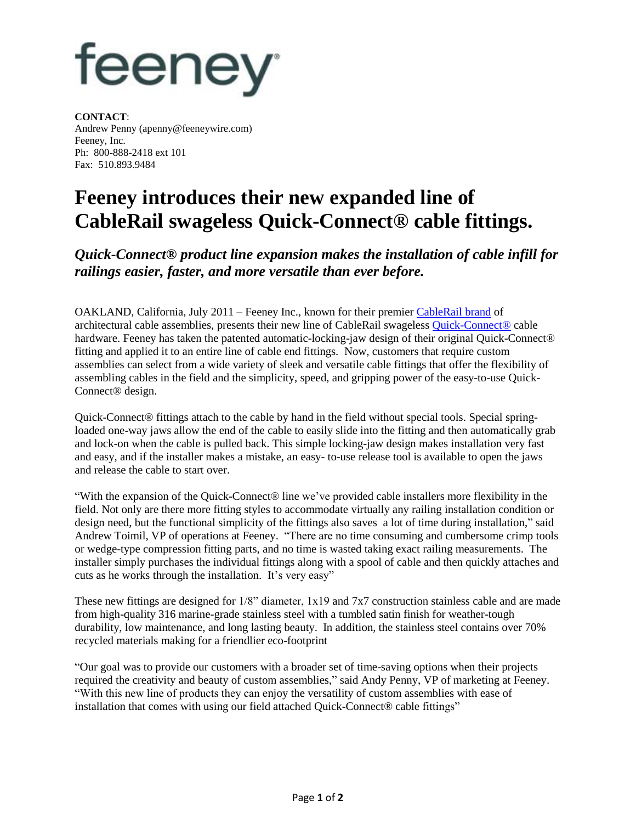## feeney

**CONTACT**: Andrew Penny (apenny@feeneywire.com) Feeney, Inc. Ph: 800-888-2418 ext 101 Fax: 510.893.9484

## **Feeney introduces their new expanded line of CableRail swageless Quick-Connect® cable fittings.**

*Quick-Connect® product line expansion makes the installation of cable infill for railings easier, faster, and more versatile than ever before.*

OAKLAND, California, July 2011 – Feeney Inc., known for their premier [CableRail](http://www.cablerail.com/) brand of architectural cable assemblies, presents their new line of CableRail swageless **[Quick-Connect®](http://www.cablerail.com/custom/fittings_NewQCs.shtml)** cable hardware. Feeney has taken the patented automatic-locking-jaw design of their original Quick-Connect® fitting and applied it to an entire line of cable end fittings. Now, customers that require custom assemblies can select from a wide variety of sleek and versatile cable fittings that offer the flexibility of assembling cables in the field and the simplicity, speed, and gripping power of the easy-to-use Quick-Connect® design.

Quick-Connect® fittings attach to the cable by hand in the field without special tools. Special springloaded one-way jaws allow the end of the cable to easily slide into the fitting and then automatically grab and lock-on when the cable is pulled back. This simple locking-jaw design makes installation very fast and easy, and if the installer makes a mistake, an easy- to-use release tool is available to open the jaws and release the cable to start over.

"With the expansion of the Quick-Connect® line we've provided cable installers more flexibility in the field. Not only are there more fitting styles to accommodate virtually any railing installation condition or design need, but the functional simplicity of the fittings also saves a lot of time during installation," said Andrew Toimil, VP of operations at Feeney. "There are no time consuming and cumbersome crimp tools or wedge-type compression fitting parts, and no time is wasted taking exact railing measurements. The installer simply purchases the individual fittings along with a spool of cable and then quickly attaches and cuts as he works through the installation. It's very easy"

These new fittings are designed for 1/8" diameter, 1x19 and 7x7 construction stainless cable and are made from high-quality 316 marine-grade stainless steel with a tumbled satin finish for weather-tough durability, low maintenance, and long lasting beauty. In addition, the stainless steel contains over 70% recycled materials making for a friendlier eco-footprint

"Our goal was to provide our customers with a broader set of time-saving options when their projects required the creativity and beauty of custom assemblies," said Andy Penny, VP of marketing at Feeney. "With this new line of products they can enjoy the versatility of custom assemblies with ease of installation that comes with using our field attached Quick-Connect® cable fittings"